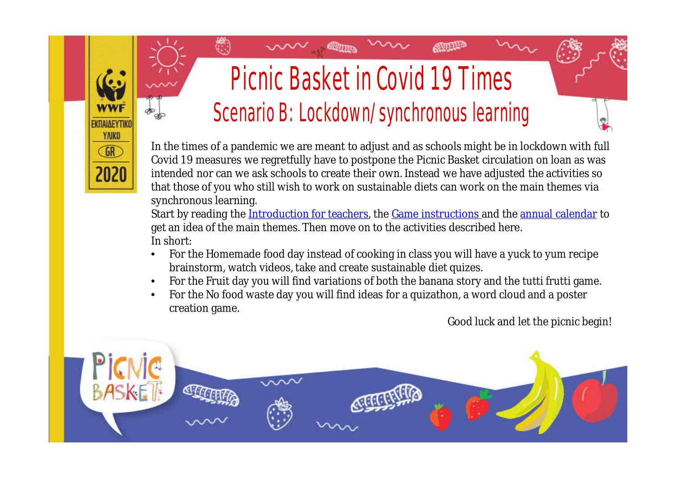# Picnic Basket in Covid 19 Times Scenario B: Lockdown/synchronous learning

EKDAIAEYTIK **YAIKO**  $GR$ 

**SULLED** 

In the times of a pandemic we are meant to adjust and as schools might be in lockdown with full Covid 19 measures we regretfully have to postpone the Picnic Basket circulation on loan as was intended nor can we ask schools to create their own. Instead we have adjusted the activities so that those of you who still wish to work on sustainable diets can work on the main themes via synchronous learning.

Start by reading the [Introduction for teachers,](https://wwfeu.awsassets.panda.org/downloads/2020_edu_greece_food_educationpack_picnicbasketintroductionforteachers_english.pdf) the [Game instructions](https://wwfeu.awsassets.panda.org/downloads/2020_edu_greece_food_educationpack_picnicbasketgameinstructions_english.pdf) and the [annual calendar](https://wwfeu.awsassets.panda.org/downloads/2020_edu_greece_food_picnicbasketeducationmaterial_annualcalendar_english.pdf) to get an idea of the main themes. Then move on to the activities described here. In short:

- For the Homemade food day instead of cooking in class you will have a yuck to yum recipe brainstorm, watch videos, take and create sustainable diet quizes.
- For the Fruit day you will find variations of both the banana story and the tutti frutti game.
- For the No food waste day you will find ideas for a quizathon, a word cloud and a poster creation game.

Good luck and let the picnic begin!

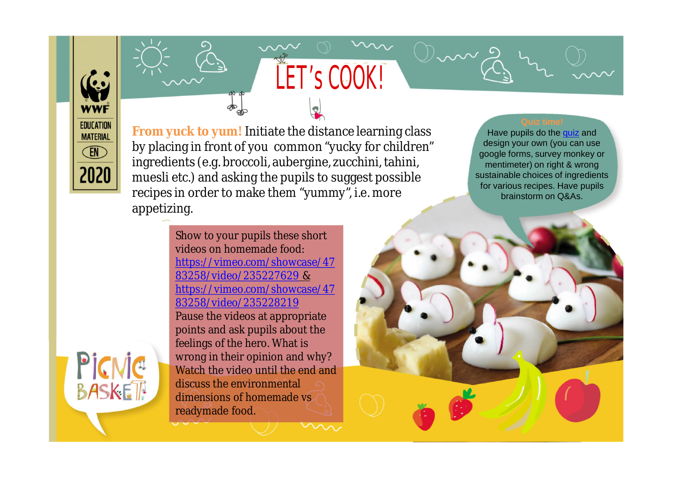**WWF EDUCATION MATERIAL EN** 2020

**From yuck to yum!** Initiate the distance learning class by placing in front of you common "yucky for children" ingredients (e.g. broccoli, aubergine, zucchini, tahini, muesli etc.) and asking the pupils to suggest possible recipes in order to make them "yummy", i.e. more appetizing.

LET'S COOK!

Have pupils do the [quiz](https://forms.gle/kFo49jjJgRpHYheG7) and design your own (you can use google forms, survey monkey or mentimeter) on right & wrong sustainable choices of ingredients for various recipes. Have pupils brainstorm on Q&As.

Show to your pupils these short videos on homemade food: [https://vimeo.com/showcase/4](https://vimeo.com/showcase/4783258/video/235227629)7 83258/video/235227629 & https://vimeo.com/showcase/47 [83258/video/235228219](https://vimeo.com/showcase/4783258/video/235228219) Pause the videos at appropriate points and ask pupils about the feelings of the hero. What is wrong in their opinion and why? Watch the video until the end and discuss the environmental dimensions of homemade vs readymade food.

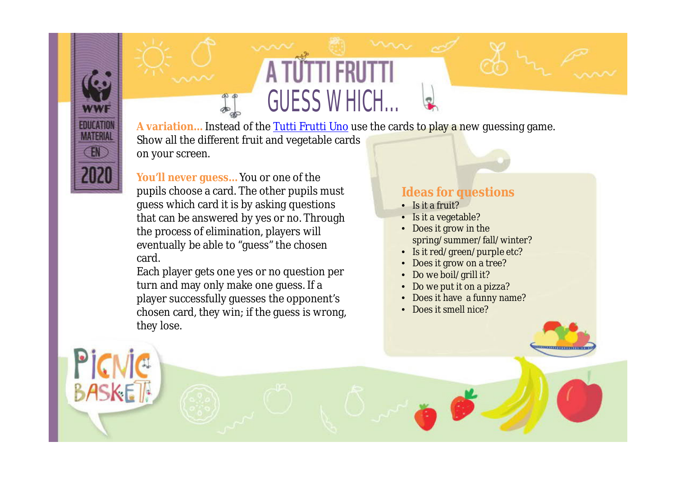GUESS WHICH… **A variation…** Instead of the [Tutti Frutti Uno](https://wwfeu.awsassets.panda.org/downloads/2020_edu_greece_food_educationpack_picnicbaskettuttifruttigame_english_pdf.pdf) use the cards to play a new guessing game. Show all the different fruit and vegetable cards on your screen.

**You'll never guess…** You or one of the pupils choose a card. The other pupils must guess which card it is by asking questions that can be answered by yes or no. Through the process of elimination, players will eventually be able to "guess" the chosen card.

**EDUCATIO MATERIAL** EN

BASKE

Each player gets one yes or no question per turn and may only make one guess. If a player successfully guesses the opponent's chosen card, they win; if the guess is wrong, they lose.

### **Ideas for questions**

- Is it a fruit?
- Is it a vegetable?
- Does it grow in the spring/summer/fall/winter?
- Is it red/green/purple etc?
- Does it grow on a tree?
- Do we boil/grill it?
- Do we put it on a pizza?
- Does it have a funny name?
- Does it smell nice?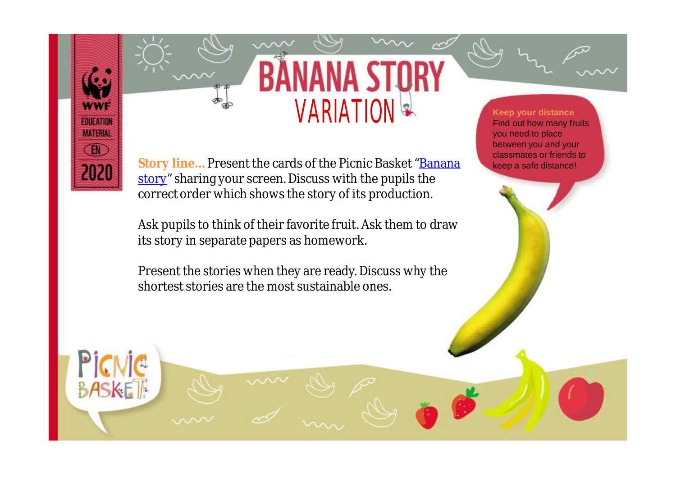

P

**BASKET** 



Story line... Present the cards of the Picnic Basket "**[Banana](https://wwfeu.awsassets.panda.org/downloads/2020_edu_greece_food_educationpack_picnicbasketbananastory_english.pdf)** [story"](https://www.wwf.gr/images/pdfs/pe/PBeng/2020_EDU_Greece_Food_EducationPack_PicnicBasketbananastory_English.pdf?fbclid=IwAR0ErpXgITFoeCC9sWyhViCzAmi-AYk7BW3mMkz7I2-_LhtS9G5P5BCLqtk) sharing your screen. Discuss with the pupils the correct order which shows the story of its production.

Ask pupils to think of their favorite fruit. Ask them to draw its story in separate papers as homework.

Present the stories when they are ready. Discuss why the shortest stories are the most sustainable ones.

#### **Keep your distance** Find out how many fruits you need to place between you and your classmates or friends to keep a safe distance!.